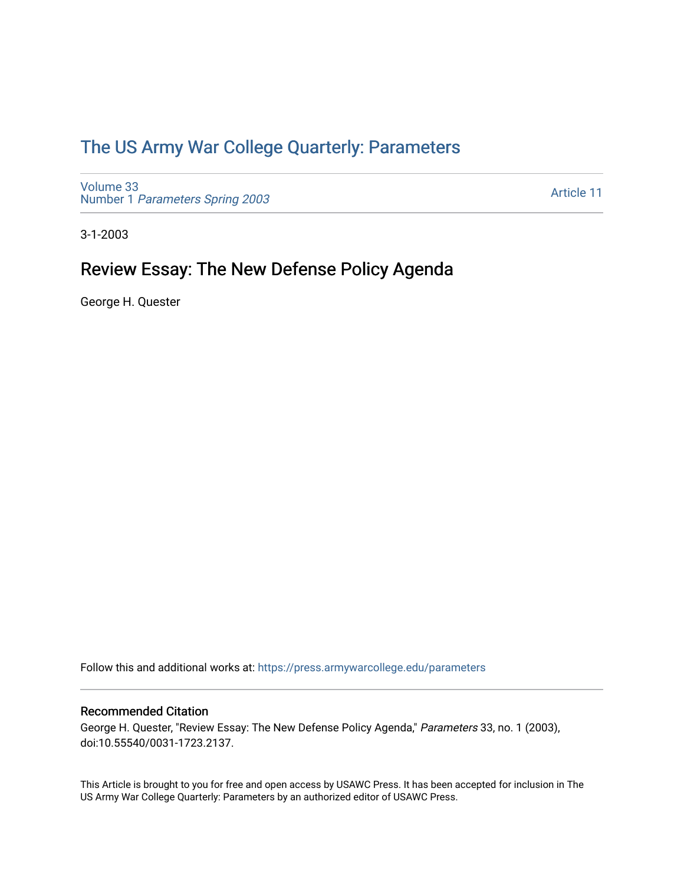## [The US Army War College Quarterly: Parameters](https://press.armywarcollege.edu/parameters)

[Volume 33](https://press.armywarcollege.edu/parameters/vol33) Number 1 [Parameters Spring 2003](https://press.armywarcollege.edu/parameters/vol33/iss1) 

[Article 11](https://press.armywarcollege.edu/parameters/vol33/iss1/11) 

3-1-2003

# Review Essay: The New Defense Policy Agenda

George H. Quester

Follow this and additional works at: [https://press.armywarcollege.edu/parameters](https://press.armywarcollege.edu/parameters?utm_source=press.armywarcollege.edu%2Fparameters%2Fvol33%2Fiss1%2F11&utm_medium=PDF&utm_campaign=PDFCoverPages) 

#### Recommended Citation

George H. Quester, "Review Essay: The New Defense Policy Agenda," Parameters 33, no. 1 (2003), doi:10.55540/0031-1723.2137.

This Article is brought to you for free and open access by USAWC Press. It has been accepted for inclusion in The US Army War College Quarterly: Parameters by an authorized editor of USAWC Press.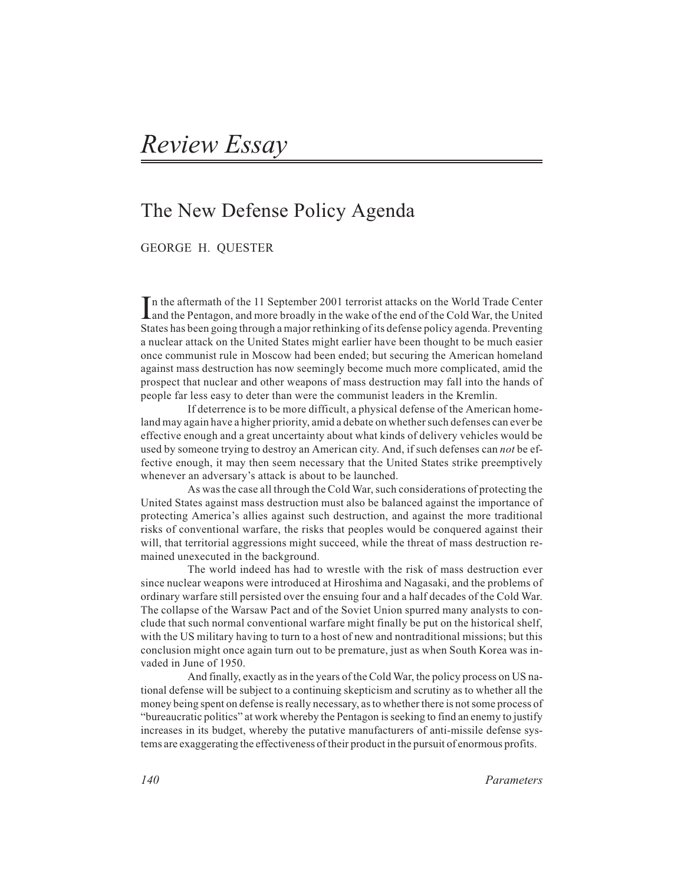## The New Defense Policy Agenda

GEORGE H. QUESTER

*I* n the aftermath of the 11 September 2001 terrorist attacks on the World Trade Center and the Pentagon, and more broadly in the wake of the end of the Cold War, the United States has been going through a major rethinking of its defense policy agenda. Preventing a nuclear attack on the United States might earlier have been thought to be much easier once communist rule in Moscow had been ended; but securing the American homeland against mass destruction has now seemingly become much more complicated, amid the prospect that nuclear and other weapons of mass destruction may fall into the hands of people far less easy to deter than were the communist leaders in the Kremlin.

If deterrence is to be more difficult, a physical defense of the American homeland may again have a higher priority, amid a debate on whether such defenses can ever be effective enough and a great uncertainty about what kinds of delivery vehicles would be used by someone trying to destroy an American city. And, if such defenses can *not* be effective enough, it may then seem necessary that the United States strike preemptively whenever an adversary's attack is about to be launched.

As was the case all through the Cold War, such considerations of protecting the United States against mass destruction must also be balanced against the importance of protecting America's allies against such destruction, and against the more traditional risks of conventional warfare, the risks that peoples would be conquered against their will, that territorial aggressions might succeed, while the threat of mass destruction remained unexecuted in the background.

The world indeed has had to wrestle with the risk of mass destruction ever since nuclear weapons were introduced at Hiroshima and Nagasaki, and the problems of ordinary warfare still persisted over the ensuing four and a half decades of the Cold War. The collapse of the Warsaw Pact and of the Soviet Union spurred many analysts to conclude that such normal conventional warfare might finally be put on the historical shelf, with the US military having to turn to a host of new and nontraditional missions; but this conclusion might once again turn out to be premature, just as when South Korea was invaded in June of 1950.

And finally, exactly as in the years of the Cold War, the policy process on US national defense will be subject to a continuing skepticism and scrutiny as to whether all the money being spent on defense is really necessary, as to whether there is not some process of "bureaucratic politics" at work whereby the Pentagon is seeking to find an enemy to justify increases in its budget, whereby the putative manufacturers of anti-missile defense systems are exaggerating the effectiveness of their product in the pursuit of enormous profits.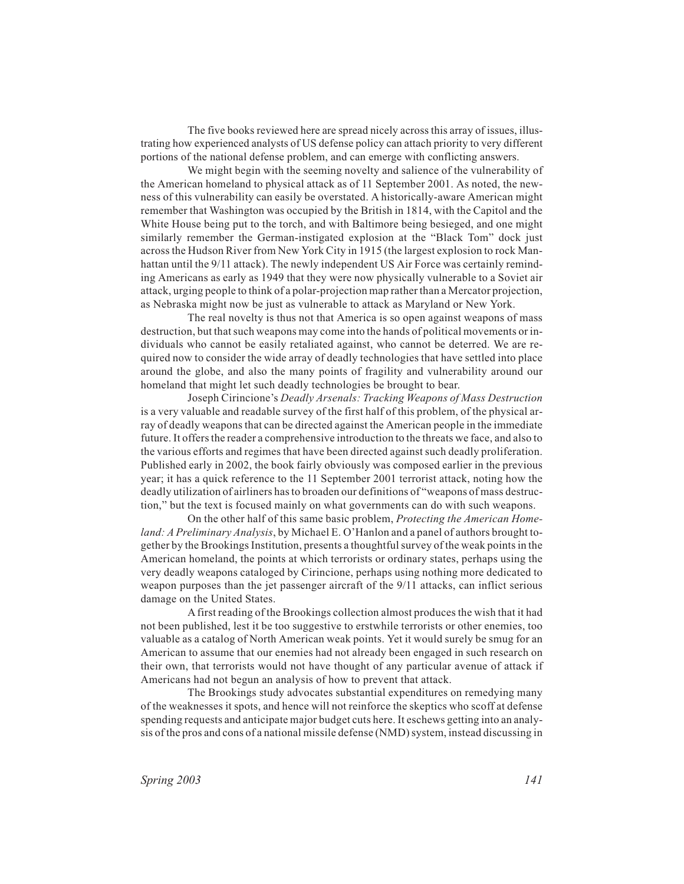The five books reviewed here are spread nicely across this array of issues, illustrating how experienced analysts of US defense policy can attach priority to very different portions of the national defense problem, and can emerge with conflicting answers.

We might begin with the seeming novelty and salience of the vulnerability of the American homeland to physical attack as of 11 September 2001. As noted, the newness of this vulnerability can easily be overstated. A historically-aware American might remember that Washington was occupied by the British in 1814, with the Capitol and the White House being put to the torch, and with Baltimore being besieged, and one might similarly remember the German-instigated explosion at the "Black Tom" dock just across the Hudson River from New York City in 1915 (the largest explosion to rock Manhattan until the 9/11 attack). The newly independent US Air Force was certainly reminding Americans as early as 1949 that they were now physically vulnerable to a Soviet air attack, urging people to think of a polar-projection map rather than a Mercator projection, as Nebraska might now be just as vulnerable to attack as Maryland or New York.

The real novelty is thus not that America is so open against weapons of mass destruction, but that such weapons may come into the hands of political movements or individuals who cannot be easily retaliated against, who cannot be deterred. We are required now to consider the wide array of deadly technologies that have settled into place around the globe, and also the many points of fragility and vulnerability around our homeland that might let such deadly technologies be brought to bear.

Joseph Cirincione's *Deadly Arsenals: Tracking Weapons of Mass Destruction* is a very valuable and readable survey of the first half of this problem, of the physical array of deadly weapons that can be directed against the American people in the immediate future. It offers the reader a comprehensive introduction to the threats we face, and also to the various efforts and regimes that have been directed against such deadly proliferation. Published early in 2002, the book fairly obviously was composed earlier in the previous year; it has a quick reference to the 11 September 2001 terrorist attack, noting how the deadly utilization of airliners has to broaden our definitions of "weapons of mass destruction," but the text is focused mainly on what governments can do with such weapons.

On the other half of this same basic problem, *Protecting the American Homeland: A Preliminary Analysis*, by Michael E. O'Hanlon and a panel of authors brought together by the Brookings Institution, presents a thoughtful survey of the weak points in the American homeland, the points at which terrorists or ordinary states, perhaps using the very deadly weapons cataloged by Cirincione, perhaps using nothing more dedicated to weapon purposes than the jet passenger aircraft of the 9/11 attacks, can inflict serious damage on the United States.

Afirst reading of the Brookings collection almost produces the wish that it had not been published, lest it be too suggestive to erstwhile terrorists or other enemies, too valuable as a catalog of North American weak points. Yet it would surely be smug for an American to assume that our enemies had not already been engaged in such research on their own, that terrorists would not have thought of any particular avenue of attack if Americans had not begun an analysis of how to prevent that attack.

The Brookings study advocates substantial expenditures on remedying many of the weaknesses it spots, and hence will not reinforce the skeptics who scoff at defense spending requests and anticipate major budget cuts here. It eschews getting into an analysis of the pros and cons of a national missile defense (NMD) system, instead discussing in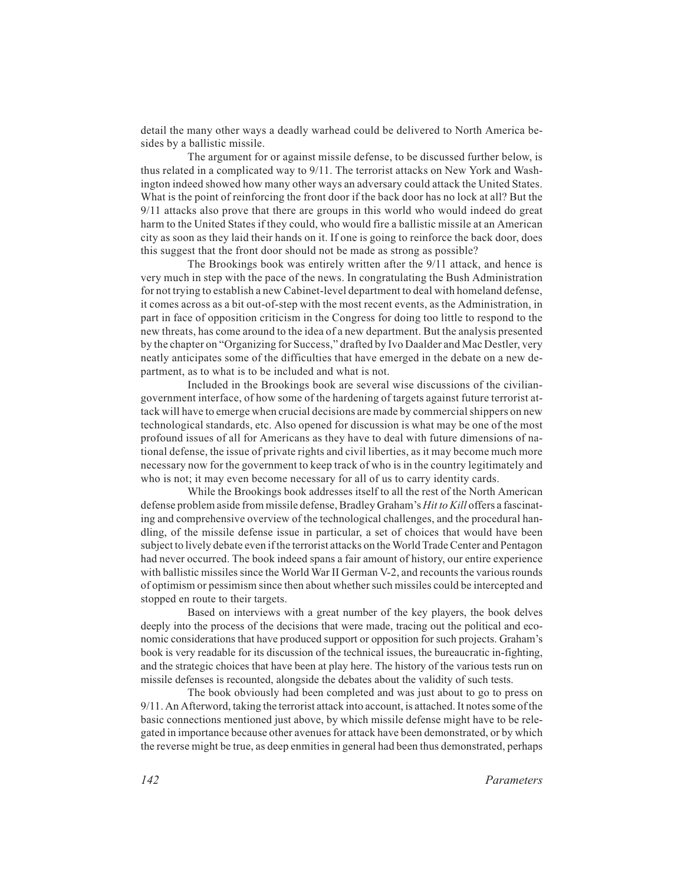detail the many other ways a deadly warhead could be delivered to North America besides by a ballistic missile.

The argument for or against missile defense, to be discussed further below, is thus related in a complicated way to 9/11. The terrorist attacks on New York and Washington indeed showed how many other ways an adversary could attack the United States. What is the point of reinforcing the front door if the back door has no lock at all? But the 9/11 attacks also prove that there are groups in this world who would indeed do great harm to the United States if they could, who would fire a ballistic missile at an American city as soon as they laid their hands on it. If one is going to reinforce the back door, does this suggest that the front door should not be made as strong as possible?

The Brookings book was entirely written after the 9/11 attack, and hence is very much in step with the pace of the news. In congratulating the Bush Administration for not trying to establish a new Cabinet-level department to deal with homeland defense, it comes across as a bit out-of-step with the most recent events, as the Administration, in part in face of opposition criticism in the Congress for doing too little to respond to the new threats, has come around to the idea of a new department. But the analysis presented by the chapter on "Organizing for Success," drafted by Ivo Daalder and Mac Destler, very neatly anticipates some of the difficulties that have emerged in the debate on a new department, as to what is to be included and what is not.

Included in the Brookings book are several wise discussions of the civiliangovernment interface, of how some of the hardening of targets against future terrorist attack will have to emerge when crucial decisions are made by commercial shippers on new technological standards, etc. Also opened for discussion is what may be one of the most profound issues of all for Americans as they have to deal with future dimensions of national defense, the issue of private rights and civil liberties, as it may become much more necessary now for the government to keep track of who is in the country legitimately and who is not; it may even become necessary for all of us to carry identity cards.

While the Brookings book addresses itself to all the rest of the North American defense problem aside from missile defense, Bradley Graham's *Hit to Kill* offers a fascinating and comprehensive overview of the technological challenges, and the procedural handling, of the missile defense issue in particular, a set of choices that would have been subject to lively debate even if the terrorist attacks on the World Trade Center and Pentagon had never occurred. The book indeed spans a fair amount of history, our entire experience with ballistic missiles since the World War II German V-2, and recounts the various rounds of optimism or pessimism since then about whether such missiles could be intercepted and stopped en route to their targets.

Based on interviews with a great number of the key players, the book delves deeply into the process of the decisions that were made, tracing out the political and economic considerations that have produced support or opposition for such projects. Graham's book is very readable for its discussion of the technical issues, the bureaucratic in-fighting, and the strategic choices that have been at play here. The history of the various tests run on missile defenses is recounted, alongside the debates about the validity of such tests.

The book obviously had been completed and was just about to go to press on 9/11. An Afterword, taking the terrorist attack into account, is attached. It notes some of the basic connections mentioned just above, by which missile defense might have to be relegated in importance because other avenues for attack have been demonstrated, or by which the reverse might be true, as deep enmities in general had been thus demonstrated, perhaps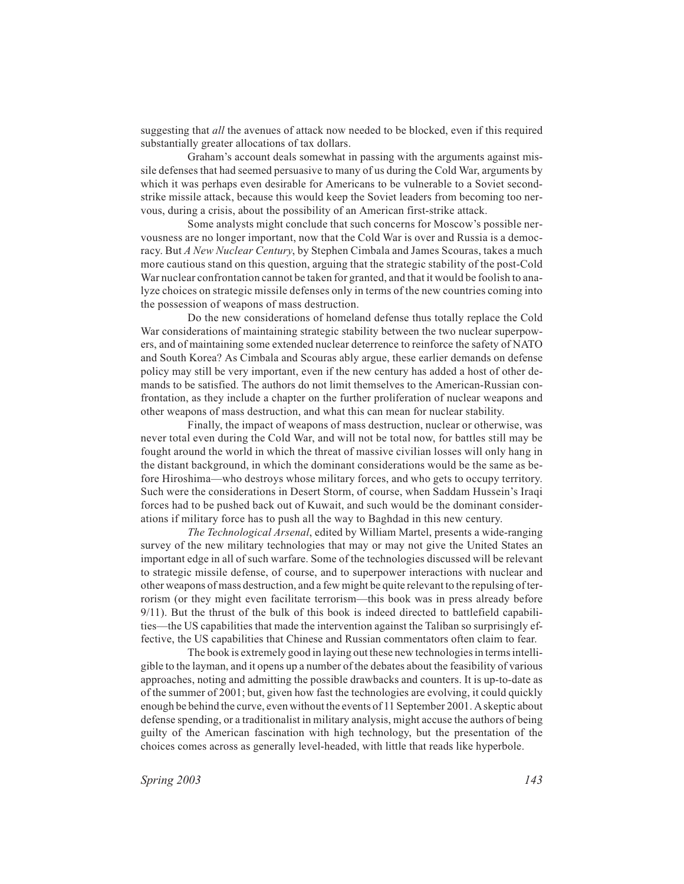suggesting that *all* the avenues of attack now needed to be blocked, even if this required substantially greater allocations of tax dollars.

Graham's account deals somewhat in passing with the arguments against missile defenses that had seemed persuasive to many of us during the Cold War, arguments by which it was perhaps even desirable for Americans to be vulnerable to a Soviet secondstrike missile attack, because this would keep the Soviet leaders from becoming too nervous, during a crisis, about the possibility of an American first-strike attack.

Some analysts might conclude that such concerns for Moscow's possible nervousness are no longer important, now that the Cold War is over and Russia is a democracy. But *A New Nuclear Century*, by Stephen Cimbala and James Scouras, takes a much more cautious stand on this question, arguing that the strategic stability of the post-Cold War nuclear confrontation cannot be taken for granted, and that it would be foolish to analyze choices on strategic missile defenses only in terms of the new countries coming into the possession of weapons of mass destruction.

Do the new considerations of homeland defense thus totally replace the Cold War considerations of maintaining strategic stability between the two nuclear superpowers, and of maintaining some extended nuclear deterrence to reinforce the safety of NATO and South Korea? As Cimbala and Scouras ably argue, these earlier demands on defense policy may still be very important, even if the new century has added a host of other demands to be satisfied. The authors do not limit themselves to the American-Russian confrontation, as they include a chapter on the further proliferation of nuclear weapons and other weapons of mass destruction, and what this can mean for nuclear stability.

Finally, the impact of weapons of mass destruction, nuclear or otherwise, was never total even during the Cold War, and will not be total now, for battles still may be fought around the world in which the threat of massive civilian losses will only hang in the distant background, in which the dominant considerations would be the same as before Hiroshima—who destroys whose military forces, and who gets to occupy territory. Such were the considerations in Desert Storm, of course, when Saddam Hussein's Iraqi forces had to be pushed back out of Kuwait, and such would be the dominant considerations if military force has to push all the way to Baghdad in this new century.

*The Technological Arsenal*, edited by William Martel, presents a wide-ranging survey of the new military technologies that may or may not give the United States an important edge in all of such warfare. Some of the technologies discussed will be relevant to strategic missile defense, of course, and to superpower interactions with nuclear and other weapons of mass destruction, and a few might be quite relevant to the repulsing of terrorism (or they might even facilitate terrorism—this book was in press already before 9/11). But the thrust of the bulk of this book is indeed directed to battlefield capabilities—the US capabilities that made the intervention against the Taliban so surprisingly effective, the US capabilities that Chinese and Russian commentators often claim to fear.

The book is extremely good in laying out these new technologies in terms intelligible to the layman, and it opens up a number of the debates about the feasibility of various approaches, noting and admitting the possible drawbacks and counters. It is up-to-date as of the summer of 2001; but, given how fast the technologies are evolving, it could quickly enough be behind the curve, even without the events of 11 September 2001. Askeptic about defense spending, or a traditionalist in military analysis, might accuse the authors of being guilty of the American fascination with high technology, but the presentation of the choices comes across as generally level-headed, with little that reads like hyperbole.